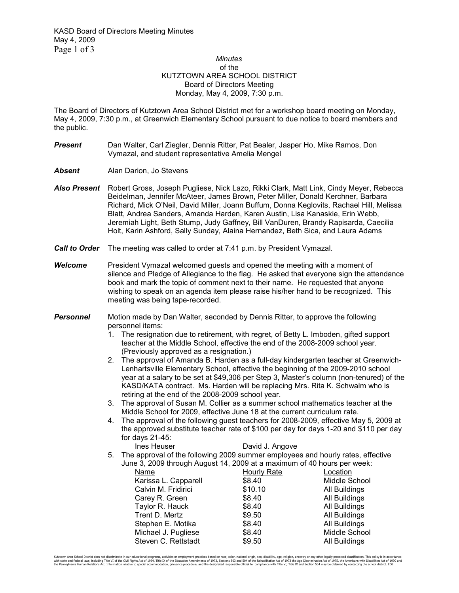## *Minutes*  of the KUTZTOWN AREA SCHOOL DISTRICT Board of Directors Meeting Monday, May 4, 2009, 7:30 p.m.

The Board of Directors of Kutztown Area School District met for a workshop board meeting on Monday, May 4, 2009, 7:30 p.m., at Greenwich Elementary School pursuant to due notice to board members and the public.

- **Present** Dan Walter, Carl Ziegler, Dennis Ritter, Pat Bealer, Jasper Ho, Mike Ramos, Don Vymazal, and student representative Amelia Mengel
- **Absent Alan Darion, Jo Stevens**
- *Also Present* Robert Gross, Joseph Pugliese, Nick Lazo, Rikki Clark, Matt Link, Cindy Meyer, Rebecca Beidelman, Jennifer McAteer, James Brown, Peter Miller, Donald Kerchner, Barbara Richard, Mick O'Neil, David Miller, Joann Buffum, Donna Keglovits, Rachael Hill, Melissa Blatt, Andrea Sanders, Amanda Harden, Karen Austin, Lisa Kanaskie, Erin Webb, Jeremiah Light, Beth Stump, Judy Gaffney, Bill VanDuren, Brandy Rapisarda, Caecilia Holt, Karin Ashford, Sally Sunday, Alaina Hernandez, Beth Sica, and Laura Adams
- *Call to Order* The meeting was called to order at 7:41 p.m. by President Vymazal.
- *Welcome* President Vymazal welcomed guests and opened the meeting with a moment of silence and Pledge of Allegiance to the flag. He asked that everyone sign the attendance book and mark the topic of comment next to their name. He requested that anyone wishing to speak on an agenda item please raise his/her hand to be recognized. This meeting was being tape-recorded.
- **Personnel** Motion made by Dan Walter, seconded by Dennis Ritter, to approve the following personnel items:
	- 1. The resignation due to retirement, with regret, of Betty L. Imboden, gifted support teacher at the Middle School, effective the end of the 2008-2009 school year. (Previously approved as a resignation.)
	- 2. The approval of Amanda B. Harden as a full-day kindergarten teacher at Greenwich-Lenhartsville Elementary School, effective the beginning of the 2009-2010 school year at a salary to be set at \$49,306 per Step 3, Master's column (non-tenured) of the KASD/KATA contract. Ms. Harden will be replacing Mrs. Rita K. Schwalm who is retiring at the end of the 2008-2009 school year.
	- 3. The approval of Susan M. Collier as a summer school mathematics teacher at the Middle School for 2009, effective June 18 at the current curriculum rate.
	- 4. The approval of the following guest teachers for 2008-2009, effective May 5, 2009 at the approved substitute teacher rate of \$100 per day for days 1-20 and \$110 per day for days 21-45:
	- Ines Heuser **David J. Angove** 5. The approval of the following 2009 summer employees and hourly rates, effective June 3, 2009 through August 14, 2009 at a maximum of 40 hours per week:

| 3 J. 2009 (MOUQH AUGUST 14, 2009 at a Maximum of 40 Hours Del Week. |             |               |  |  |  |
|---------------------------------------------------------------------|-------------|---------------|--|--|--|
| Name                                                                | Hourly Rate | Location      |  |  |  |
| Karissa L. Capparell                                                | \$8.40      | Middle School |  |  |  |
| Calvin M. Fridirici                                                 | \$10.10     | All Buildings |  |  |  |
| Carey R. Green                                                      | \$8.40      | All Buildings |  |  |  |
| Taylor R. Hauck                                                     | \$8.40      | All Buildings |  |  |  |
| Trent D. Mertz                                                      | \$9.50      | All Buildings |  |  |  |
| Stephen E. Motika                                                   | \$8.40      | All Buildings |  |  |  |
| Michael J. Pugliese                                                 | \$8.40      | Middle School |  |  |  |
| Steven C. Rettstadt                                                 | \$9.50      | All Buildings |  |  |  |
|                                                                     |             |               |  |  |  |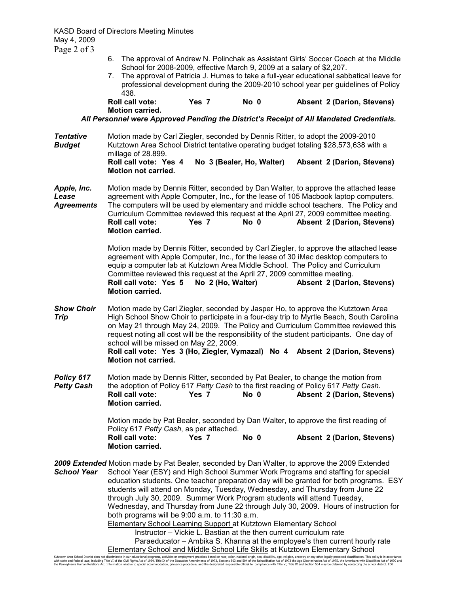KASD Board of Directors Meeting Minutes May 4, 2009 Page 2 of 3

- 6. The approval of Andrew N. Polinchak as Assistant Girls' Soccer Coach at the Middle School for 2008-2009, effective March 9, 2009 at a salary of \$2,207.
- 7. The approval of Patricia J. Humes to take a full-year educational sabbatical leave for professional development during the 2009-2010 school year per guidelines of Policy 438.

## **Roll call vote: Yes 7 No 0 Absent 2 (Darion, Stevens) Motion carried.**

*All Personnel were Approved Pending the District's Receipt of All Mandated Credentials.* 

**Tentative** Motion made by Carl Ziegler, seconded by Dennis Ritter, to adopt the 2009-2010 **Budget** Kutztown Area School District tentative operating budget totaling \$28,573,638 with a millage of 28.899. **Roll call vote: Yes 4 No 3 (Bealer, Ho, Walter) Absent 2 (Darion, Stevens)**  **Motion not carried.** 

*Apple, Inc.* Motion made by Dennis Ritter, seconded by Dan Walter, to approve the attached lease *Lease* agreement with Apple Computer, Inc., for the lease of 105 Macbook laptop computers. *Agreements* The computers will be used by elementary and middle school teachers. The Policy and Curriculum Committee reviewed this request at the April 27, 2009 committee meeting.<br> **Roll call vote: Yes 7** No 0 **Absent 2 (Darion, Stevens**) Absent 2 (Darion, Stevens) **Motion carried.** 

> Motion made by Dennis Ritter, seconded by Carl Ziegler, to approve the attached lease agreement with Apple Computer, Inc., for the lease of 30 iMac desktop computers to equip a computer lab at Kutztown Area Middle School. The Policy and Curriculum Committee reviewed this request at the April 27, 2009 committee meeting. **Roll call vote: Yes 5 No 2 (Ho, Walter) Absent 2 (Darion, Stevens) Motion carried.**

- **Show Choir** Motion made by Carl Ziegler, seconded by Jasper Ho, to approve the Kutztown Area<br> **Trip Example:** High School Show Choir to participate in a four-day trip to Myrtle Beach, South Caroli High School Show Choir to participate in a four-day trip to Myrtle Beach, South Carolina on May 21 through May 24, 2009. The Policy and Curriculum Committee reviewed this request noting all cost will be the responsibility of the student participants. One day of school will be missed on May 22, 2009. **Roll call vote: Yes 3 (Ho, Ziegler, Vymazal) No 4 Absent 2 (Darion, Stevens) Motion not carried.**
- **Policy 617** Motion made by Dennis Ritter, seconded by Pat Bealer, to change the motion from *Petty Cash* the adoption of Policy 617 *Petty Cash* to the first reading of Policy 617 *Petty Cash.* **Roll call vote: Yes 7 No 0 Absent 2 (Darion, Stevens)**  **Motion carried.**

Motion made by Pat Bealer, seconded by Dan Walter, to approve the first reading of Policy 617 *Petty Cash*, as per attached. **Roll call vote: Yes 7 No 0 Absent 2 (Darion, Stevens)**  **Motion carried.** 

*2009 Extended* Motion made by Pat Bealer, seconded by Dan Walter, to approve the 2009 Extended **School Year** School Year (ESY) and High School Summer Work Programs and staffing for special education students. One teacher preparation day will be granted for both programs. ESY students will attend on Monday, Tuesday, Wednesday, and Thursday from June 22 through July 30, 2009. Summer Work Program students will attend Tuesday, Wednesday, and Thursday from June 22 through July 30, 2009. Hours of instruction for both programs will be 9:00 a.m. to 11:30 a.m. Elementary School Learning Support at Kutztown Elementary School Instructor – Vickie L. Bastian at the then current curriculum rate Paraeducator – Ambika S. Khanna at the employee's then current hourly rate

Elementary School and Middle School Life Skills at Kutztown Elementary School